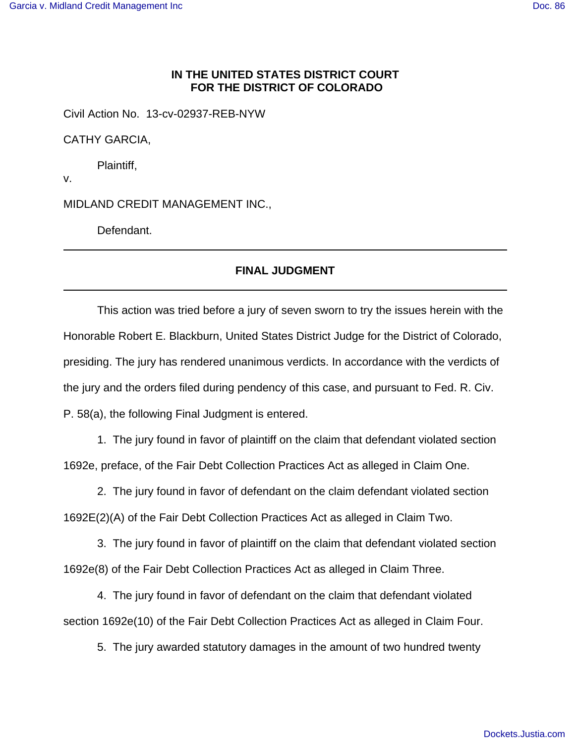## **IN THE UNITED STATES DISTRICT COURT FOR THE DISTRICT OF COLORADO**

Civil Action No. 13-cv-02937-REB-NYW

CATHY GARCIA,

Plaintiff,

v.

MIDLAND CREDIT MANAGEMENT INC.,

Defendant.

## **FINAL JUDGMENT**

This action was tried before a jury of seven sworn to try the issues herein with the Honorable Robert E. Blackburn, United States District Judge for the District of Colorado, presiding. The jury has rendered unanimous verdicts. In accordance with the verdicts of the jury and the orders filed during pendency of this case, and pursuant to Fed. R. Civ. P. 58(a), the following Final Judgment is entered.

1. The jury found in favor of plaintiff on the claim that defendant violated section 1692e, preface, of the Fair Debt Collection Practices Act as alleged in Claim One.

2. The jury found in favor of defendant on the claim defendant violated section 1692E(2)(A) of the Fair Debt Collection Practices Act as alleged in Claim Two.

3. The jury found in favor of plaintiff on the claim that defendant violated section 1692e(8) of the Fair Debt Collection Practices Act as alleged in Claim Three.

4. The jury found in favor of defendant on the claim that defendant violated section 1692e(10) of the Fair Debt Collection Practices Act as alleged in Claim Four.

5. The jury awarded statutory damages in the amount of two hundred twenty